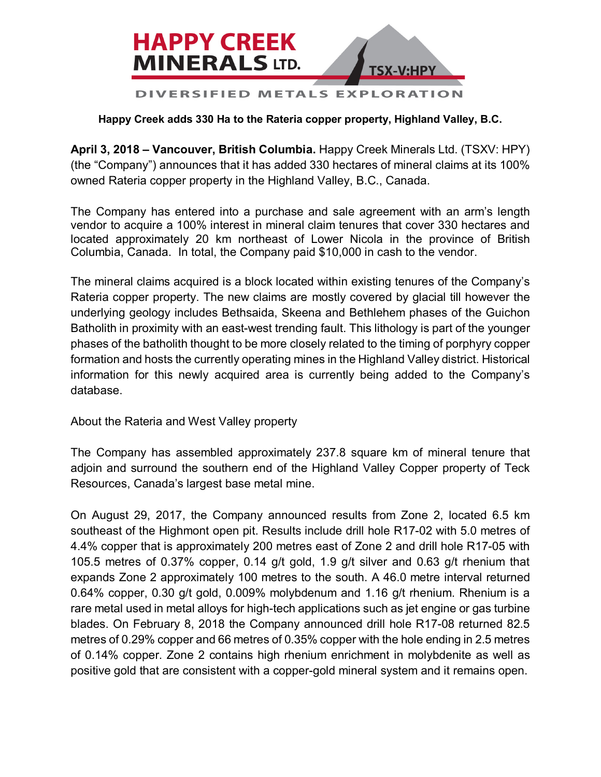

## **Happy Creek adds 330 Ha to the Rateria copper property, Highland Valley, B.C.**

**April 3, 2018 – Vancouver, British Columbia.** Happy Creek Minerals Ltd. (TSXV: HPY) (the "Company") announces that it has added 330 hectares of mineral claims at its 100% owned Rateria copper property in the Highland Valley, B.C., Canada.

The Company has entered into a purchase and sale agreement with an arm's length vendor to acquire a 100% interest in mineral claim tenures that cover 330 hectares and located approximately 20 km northeast of Lower Nicola in the province of British Columbia, Canada. In total, the Company paid \$10,000 in cash to the vendor.

The mineral claims acquired is a block located within existing tenures of the Company's Rateria copper property. The new claims are mostly covered by glacial till however the underlying geology includes Bethsaida, Skeena and Bethlehem phases of the Guichon Batholith in proximity with an east-west trending fault. This lithology is part of the younger phases of the batholith thought to be more closely related to the timing of porphyry copper formation and hosts the currently operating mines in the Highland Valley district. Historical information for this newly acquired area is currently being added to the Company's database.

About the Rateria and West Valley property

The Company has assembled approximately 237.8 square km of mineral tenure that adjoin and surround the southern end of the Highland Valley Copper property of Teck Resources, Canada's largest base metal mine.

On August 29, 2017, the Company announced results from Zone 2, located 6.5 km southeast of the Highmont open pit. Results include drill hole R17-02 with 5.0 metres of 4.4% copper that is approximately 200 metres east of Zone 2 and drill hole R17-05 with 105.5 metres of 0.37% copper, 0.14 g/t gold, 1.9 g/t silver and 0.63 g/t rhenium that expands Zone 2 approximately 100 metres to the south. A 46.0 metre interval returned 0.64% copper, 0.30 g/t gold, 0.009% molybdenum and 1.16 g/t rhenium. Rhenium is a rare metal used in metal alloys for high-tech applications such as jet engine or gas turbine blades. On February 8, 2018 the Company announced drill hole R17-08 returned 82.5 metres of 0.29% copper and 66 metres of 0.35% copper with the hole ending in 2.5 metres of 0.14% copper. Zone 2 contains high rhenium enrichment in molybdenite as well as positive gold that are consistent with a copper-gold mineral system and it remains open.